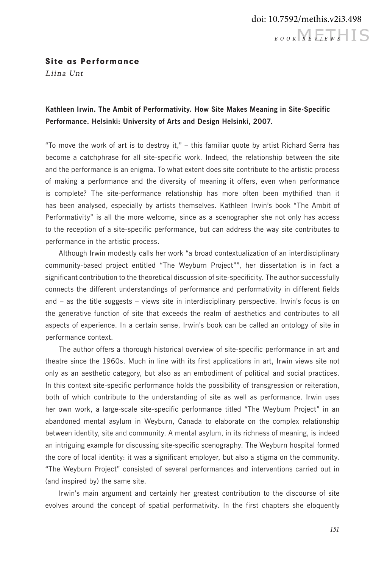## Site as Performance

Liina Unt

## **Kathleen Irwin. The Ambit of Performativity. How Site Makes Meaning in Site-Specific Performance. Helsinki: University of Arts and Design Helsinki, 2007.**

"To move the work of art is to destroy it," – this familiar quote by artist Richard Serra has become a catchphrase for all site-specific work. Indeed, the relationship between the site and the performance is an enigma. To what extent does site contribute to the artistic process of making a performance and the diversity of meaning it offers, even when performance is complete? The site-performance relationship has more often been mythified than it has been analysed, especially by artists themselves. Kathleen Irwin's book "The Ambit of Performativity" is all the more welcome, since as a scenographer she not only has access to the reception of a site-specific performance, but can address the way site contributes to performance in the artistic process.

Although Irwin modestly calls her work "a broad contextualization of an interdisciplinary community-based project entitled "The Weyburn Project"", her dissertation is in fact a significant contribution to the theoretical discussion of site-specificity. The author successfully connects the different understandings of performance and performativity in different fields and – as the title suggests – views site in interdisciplinary perspective. Irwin's focus is on the generative function of site that exceeds the realm of aesthetics and contributes to all aspects of experience. In a certain sense, Irwin's book can be called an ontology of site in performance context.

The author offers a thorough historical overview of site-specific performance in art and theatre since the 1960s. Much in line with its first applications in art, Irwin views site not only as an aesthetic category, but also as an embodiment of political and social practices. In this context site-specific performance holds the possibility of transgression or reiteration, both of which contribute to the understanding of site as well as performance. Irwin uses her own work, a large-scale site-specific performance titled "The Weyburn Project" in an abandoned mental asylum in Weyburn, Canada to elaborate on the complex relationship between identity, site and community. A mental asylum, in its richness of meaning, is indeed an intriguing example for discussing site-specific scenography. The Weyburn hospital formed the core of local identity: it was a significant employer, but also a stigma on the community. "The Weyburn Project" consisted of several performances and interventions carried out in (and inspired by) the same site.

Irwin's main argument and certainly her greatest contribution to the discourse of site evolves around the concept of spatial performativity. In the first chapters she eloquently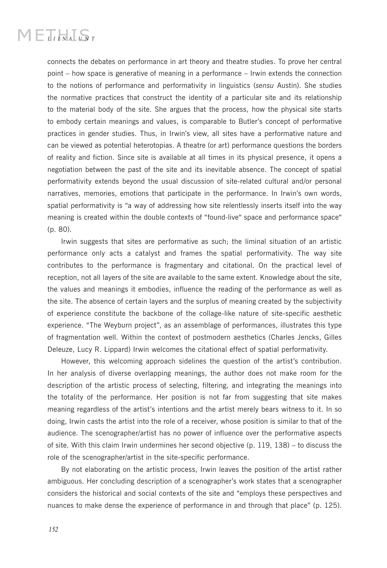## $MET_{UVA}T_{UVT}$

connects the debates on performance in art theory and theatre studies. To prove her central point – how space is generative of meaning in a performance – Irwin extends the connection to the notions of performance and performativity in linguistics (*sensu* Austin). She studies the normative practices that construct the identity of a particular site and its relationship to the material body of the site. She argues that the process, how the physical site starts to embody certain meanings and values, is comparable to Butler's concept of performative practices in gender studies. Thus, in Irwin's view, all sites have a performative nature and can be viewed as potential heterotopias. A theatre (or art) performance questions the borders of reality and fiction. Since site is available at all times in its physical presence, it opens a negotiation between the past of the site and its inevitable absence. The concept of spatial performativity extends beyond the usual discussion of site-related cultural and/or personal narratives, memories, emotions that participate in the performance. In Irwin's own words, spatial performativity is "a way of addressing how site relentlessly inserts itself into the way meaning is created within the double contexts of "found-live" space and performance space" (p. 80).

Irwin suggests that sites are performative as such; the liminal situation of an artistic performance only acts a catalyst and frames the spatial performativity. The way site contributes to the performance is fragmentary and citational. On the practical level of reception, not all layers of the site are available to the same extent. Knowledge about the site, the values and meanings it embodies, influence the reading of the performance as well as the site. The absence of certain layers and the surplus of meaning created by the subjectivity of experience constitute the backbone of the collage-like nature of site-specific aesthetic experience. "The Weyburn project", as an assemblage of performances, illustrates this type of fragmentation well. Within the context of postmodern aesthetics (Charles Jencks, Gilles Deleuze, Lucy R. Lippard) Irwin welcomes the citational effect of spatial performativity.

However, this welcoming approach sidelines the question of the artist's contribution. In her analysis of diverse overlapping meanings, the author does not make room for the description of the artistic process of selecting, filtering, and integrating the meanings into the totality of the performance. Her position is not far from suggesting that site makes meaning regardless of the artist's intentions and the artist merely bears witness to it. In so doing, Irwin casts the artist into the role of a receiver, whose position is similar to that of the audience. The scenographer/artist has no power of influence over the performative aspects of site. With this claim Irwin undermines her second objective (p. 119, 138) – to discuss the role of the scenographer/artist in the site-specific performance.

By not elaborating on the artistic process, Irwin leaves the position of the artist rather ambiguous. Her concluding description of a scenographer's work states that a scenographer considers the historical and social contexts of the site and "employs these perspectives and nuances to make dense the experience of performance in and through that place" (p. 125).